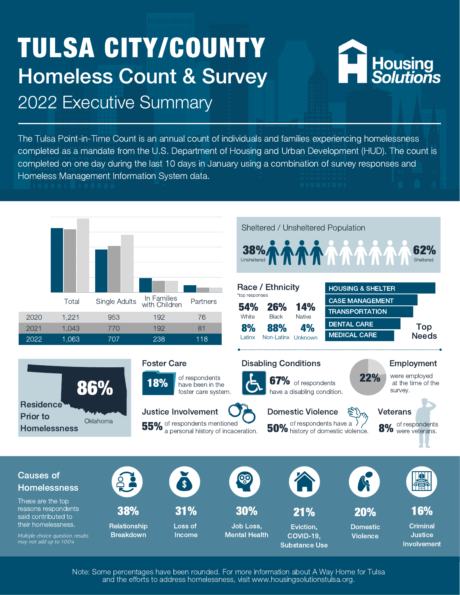# TULSA CITY/COUNTY Homeless Count & Survey 2022 Executive Summary



The Tulsa Point-in-Time Count is an annual count of individuals and families experiencing homelessness completed as a mandate from the U.S. Department of Housing and Urban Development (HUD). The count is completed on one day during the last 10 days in January using a combination of survey responses and Homeless Management Information System data.



Note: Some percentages have been rounded. For more information about A Way Home for Tulsa and the efforts to address homelessness, visit www.housingsolutionstulsa.org.